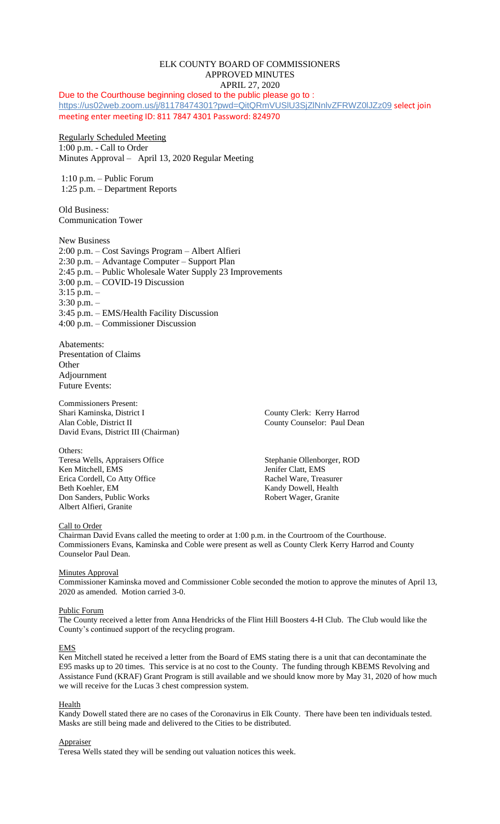# ELK COUNTY BOARD OF COMMISSIONERS APPROVED MINUTES APRIL 27, 2020

Due to the Courthouse beginning closed to the public please go to : <https://us02web.zoom.us/j/81178474301?pwd=QitQRmVUSlU3SjZlNnlvZFRWZ0lJZz09> select join meeting enter meeting ID: 811 7847 4301 Password: 824970

# Regularly Scheduled Meeting

1:00 p.m. - Call to Order Minutes Approval – April 13, 2020 Regular Meeting

1:10 p.m. – Public Forum 1:25 p.m. – Department Reports

Old Business: Communication Tower

New Business 2:00 p.m. – Cost Savings Program – Albert Alfieri 2:30 p.m. – Advantage Computer – Support Plan 2:45 p.m. – Public Wholesale Water Supply 23 Improvements 3:00 p.m. – COVID-19 Discussion 3:15 p.m. – 3:30 p.m. – 3:45 p.m. – EMS/Health Facility Discussion 4:00 p.m. – Commissioner Discussion

Abatements: Presentation of Claims **Other** Adjournment Future Events:

Commissioners Present: Shari Kaminska, District I County Clerk: Kerry Harrod Alan Coble, District II County Counselor: Paul Dean David Evans, District III (Chairman)

Others:

Teresa Wells, Appraisers Office Stephanie Ollenborger, ROD Ken Mitchell, EMS<br>
Erica Cordell, Co Atty Office<br>
Rachel Ware, Treasurer Erica Cordell, Co Atty Office Beth Koehler, EM Kandy Dowell, Health Don Sanders, Public Works Robert Wager, Granite Albert Alfieri, Granite

# Call to Order

Chairman David Evans called the meeting to order at 1:00 p.m. in the Courtroom of the Courthouse. Commissioners Evans, Kaminska and Coble were present as well as County Clerk Kerry Harrod and County Counselor Paul Dean.

# **Minutes Approval**

Commissioner Kaminska moved and Commissioner Coble seconded the motion to approve the minutes of April 13, 2020 as amended. Motion carried 3-0.

### Public Forum

The County received a letter from Anna Hendricks of the Flint Hill Boosters 4-H Club. The Club would like the County's continued support of the recycling program.

### EMS

Ken Mitchell stated he received a letter from the Board of EMS stating there is a unit that can decontaminate the E95 masks up to 20 times. This service is at no cost to the County. The funding through KBEMS Revolving and Assistance Fund (KRAF) Grant Program is still available and we should know more by May 31, 2020 of how much we will receive for the Lucas 3 chest compression system.

**Health** 

Kandy Dowell stated there are no cases of the Coronavirus in Elk County. There have been ten individuals tested. Masks are still being made and delivered to the Cities to be distributed.

# Appraiser

Teresa Wells stated they will be sending out valuation notices this week.